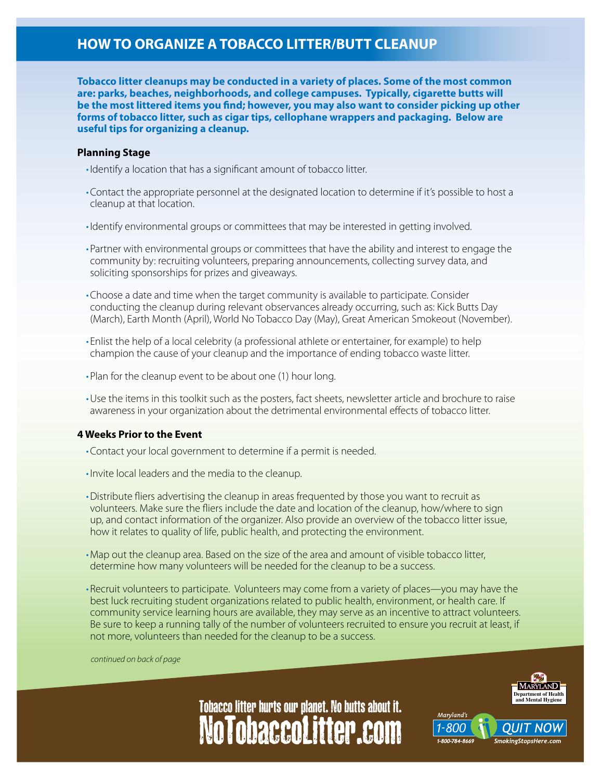# **HOW TO ORGANIZE A TOBACCO LITTER/BUTT CLEANUP**

**Tobacco litter cleanups may be conducted in a variety of places. Some of the most common are: parks, beaches, neighborhoods, and college campuses. Typically, cigarette butts will be the most littered items you find; however, you may also want to consider picking up other forms of tobacco litter, such as cigar tips, cellophane wrappers and packaging. Below are useful tips for organizing a cleanup.**

### **Planning Stage**

- Identify a location that has a significant amount of tobacco litter.
- • Contact the appropriate personnel at the designated location to determine if it's possible to host a cleanup at that location.
- • Identify environmental groups or committees that may be interested in getting involved.
- Partner with environmental groups or committees that have the ability and interest to engage the community by: recruiting volunteers, preparing announcements, collecting survey data, and soliciting sponsorships for prizes and giveaways.
- • Choose a date and time when the target community is available to participate. Consider conducting the cleanup during relevant observances already occurring, such as: Kick Butts Day (March), Earth Month (April), World No Tobacco Day (May), Great American Smokeout (November).
- Enlist the help of a local celebrity (a professional athlete or entertainer, for example) to help champion the cause of your cleanup and the importance of ending tobacco waste litter.
- Plan for the cleanup event to be about one (1) hour long.
- • Use the items in this toolkit such as the posters, fact sheets, newsletter article and brochure to raise awareness in your organization about the detrimental environmental effects of tobacco litter.

#### **4 Weeks Prior to the Event**

- • Contact your local government to determine if a permit is needed.
- • Invite local leaders and the media to the cleanup.
- • Distribute fliers advertising the cleanup in areas frequented by those you want to recruit as volunteers. Make sure the fliers include the date and location of the cleanup, how/where to sign up, and contact information of the organizer. Also provide an overview of the tobacco litter issue, how it relates to quality of life, public health, and protecting the environment.
- • Map out the cleanup area. Based on the size of the area and amount of visible tobacco litter, determine how many volunteers will be needed for the cleanup to be a success.
- • Recruit volunteers to participate. Volunteers may come from a variety of places—you may have the best luck recruiting student organizations related to public health, environment, or health care. If community service learning hours are available, they may serve as an incentive to attract volunteers. Be sure to keep a running tally of the number of volunteers recruited to ensure you recruit at least, if not more, volunteers than needed for the cleanup to be a success.

*continued on back of page*



Maryland's 800